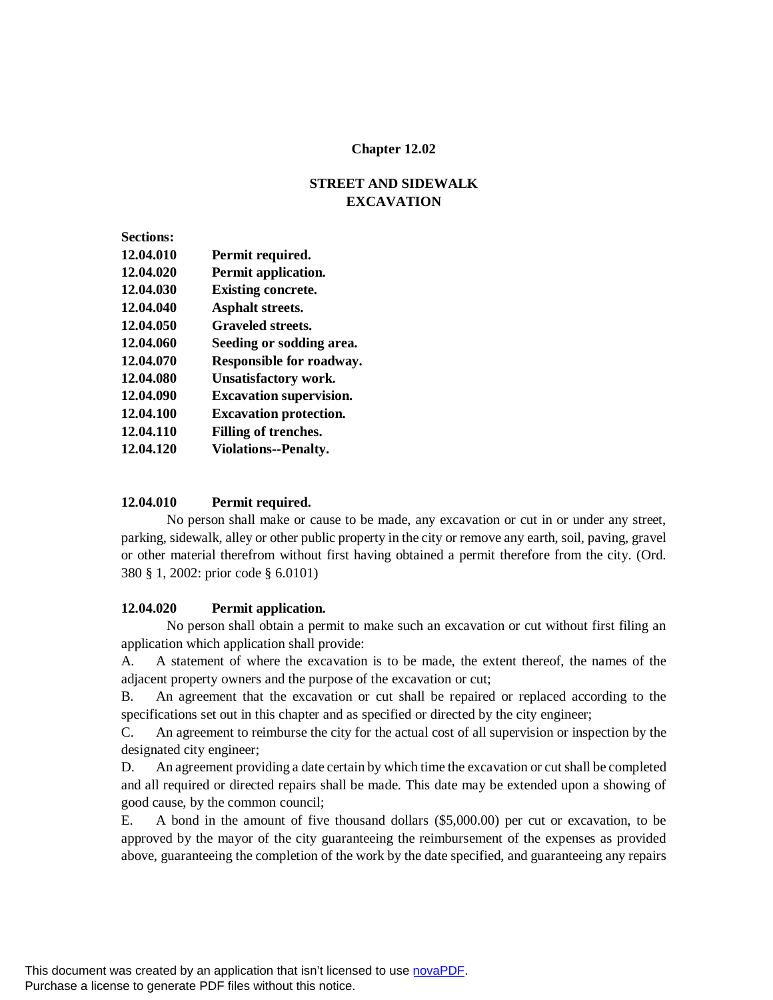## **Chapter 12.02**

# **STREET AND SIDEWALK EXCAVATION**

| <b>Sections:</b> |                                |
|------------------|--------------------------------|
| 12.04.010        | Permit required.               |
| 12.04.020        | Permit application.            |
| 12.04.030        | <b>Existing concrete.</b>      |
| 12.04.040        | Asphalt streets.               |
| 12.04.050        | <b>Graveled streets.</b>       |
| 12.04.060        | Seeding or sodding area.       |
| 12.04.070        | Responsible for roadway.       |
| 12.04.080        | Unsatisfactory work.           |
| 12.04.090        | <b>Excavation supervision.</b> |
| 12.04.100        | <b>Excavation protection.</b>  |
| 12.04.110        | Filling of trenches.           |
| 12.04.120        | <b>Violations--Penalty.</b>    |
|                  |                                |

## **12.04.010 Permit required.**

No person shall make or cause to be made, any excavation or cut in or under any street, parking, sidewalk, alley or other public property in the city or remove any earth, soil, paving, gravel or other material therefrom without first having obtained a permit therefore from the city. (Ord. 380 § 1, 2002: prior code § 6.0101)

#### **12.04.020 Permit application.**

No person shall obtain a permit to make such an excavation or cut without first filing an application which application shall provide:

A. A statement of where the excavation is to be made, the extent thereof, the names of the adjacent property owners and the purpose of the excavation or cut;

B. An agreement that the excavation or cut shall be repaired or replaced according to the specifications set out in this chapter and as specified or directed by the city engineer;

C. An agreement to reimburse the city for the actual cost of all supervision or inspection by the designated city engineer;

D. An agreement providing a date certain by which time the excavation or cut shall be completed and all required or directed repairs shall be made. This date may be extended upon a showing of good cause, by the common council;

E. A bond in the amount of five thousand dollars (\$5,000.00) per cut or excavation, to be approved by the mayor of the city guaranteeing the reimbursement of the expenses as provided above, guaranteeing the completion of the work by the date specified, and guaranteeing any repairs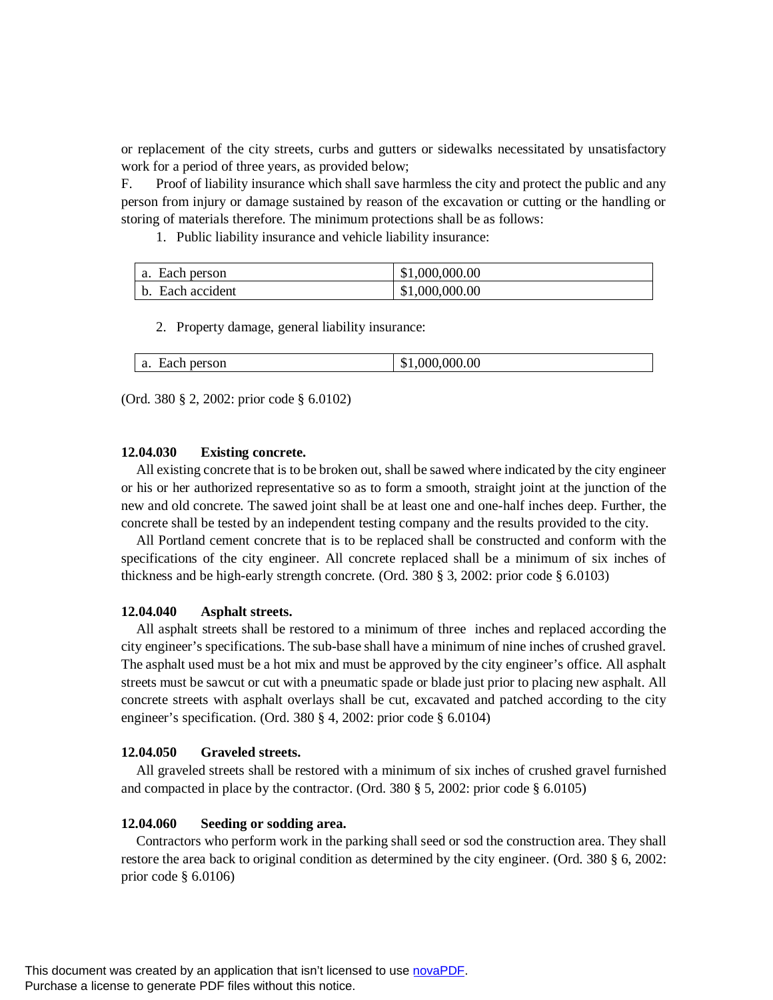or replacement of the city streets, curbs and gutters or sidewalks necessitated by unsatisfactory work for a period of three years, as provided below;

F. Proof of liability insurance which shall save harmless the city and protect the public and any person from injury or damage sustained by reason of the excavation or cutting or the handling or storing of materials therefore. The minimum protections shall be as follows:

1. Public liability insurance and vehicle liability insurance:

| Each person<br>a. | \$1,000,000.00 |
|-------------------|----------------|
| b. Each accident  | \$1,000,000.00 |

2. Property damage, general liability insurance:

| a. Each person | \$1,000,000.00 |
|----------------|----------------|
|----------------|----------------|

(Ord. 380 § 2, 2002: prior code § 6.0102)

#### **12.04.030 Existing concrete.**

All existing concrete that is to be broken out, shall be sawed where indicated by the city engineer or his or her authorized representative so as to form a smooth, straight joint at the junction of the new and old concrete. The sawed joint shall be at least one and one-half inches deep. Further, the concrete shall be tested by an independent testing company and the results provided to the city.

All Portland cement concrete that is to be replaced shall be constructed and conform with the specifications of the city engineer. All concrete replaced shall be a minimum of six inches of thickness and be high-early strength concrete. (Ord. 380 § 3, 2002: prior code § 6.0103)

#### **12.04.040 Asphalt streets.**

All asphalt streets shall be restored to a minimum of three inches and replaced according the city engineer's specifications. The sub-base shall have a minimum of nine inches of crushed gravel. The asphalt used must be a hot mix and must be approved by the city engineer's office. All asphalt streets must be sawcut or cut with a pneumatic spade or blade just prior to placing new asphalt. All concrete streets with asphalt overlays shall be cut, excavated and patched according to the city engineer's specification. (Ord. 380 § 4, 2002: prior code § 6.0104)

#### **12.04.050 Graveled streets.**

All graveled streets shall be restored with a minimum of six inches of crushed gravel furnished and compacted in place by the contractor. (Ord. 380 § 5, 2002: prior code § 6.0105)

#### **12.04.060 Seeding or sodding area.**

Contractors who perform work in the parking shall seed or sod the construction area. They shall restore the area back to original condition as determined by the city engineer. (Ord. 380 § 6, 2002: prior code § 6.0106)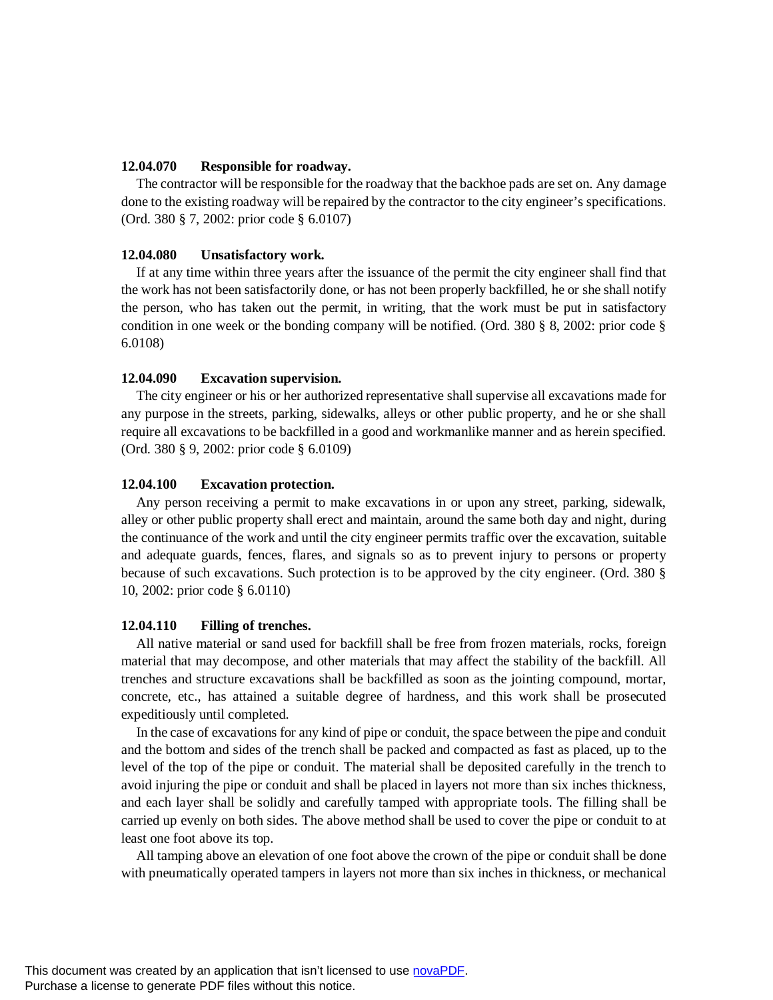## **12.04.070 Responsible for roadway.**

The contractor will be responsible for the roadway that the backhoe pads are set on. Any damage done to the existing roadway will be repaired by the contractor to the city engineer's specifications. (Ord. 380 § 7, 2002: prior code § 6.0107)

#### **12.04.080 Unsatisfactory work.**

If at any time within three years after the issuance of the permit the city engineer shall find that the work has not been satisfactorily done, or has not been properly backfilled, he or she shall notify the person, who has taken out the permit, in writing, that the work must be put in satisfactory condition in one week or the bonding company will be notified. (Ord. 380 § 8, 2002: prior code § 6.0108)

## **12.04.090 Excavation supervision.**

The city engineer or his or her authorized representative shall supervise all excavations made for any purpose in the streets, parking, sidewalks, alleys or other public property, and he or she shall require all excavations to be backfilled in a good and workmanlike manner and as herein specified. (Ord. 380 § 9, 2002: prior code § 6.0109)

## **12.04.100 Excavation protection.**

Any person receiving a permit to make excavations in or upon any street, parking, sidewalk, alley or other public property shall erect and maintain, around the same both day and night, during the continuance of the work and until the city engineer permits traffic over the excavation, suitable and adequate guards, fences, flares, and signals so as to prevent injury to persons or property because of such excavations. Such protection is to be approved by the city engineer. (Ord. 380 § 10, 2002: prior code § 6.0110)

#### **12.04.110 Filling of trenches.**

All native material or sand used for backfill shall be free from frozen materials, rocks, foreign material that may decompose, and other materials that may affect the stability of the backfill. All trenches and structure excavations shall be backfilled as soon as the jointing compound, mortar, concrete, etc., has attained a suitable degree of hardness, and this work shall be prosecuted expeditiously until completed.

In the case of excavations for any kind of pipe or conduit, the space between the pipe and conduit and the bottom and sides of the trench shall be packed and compacted as fast as placed, up to the level of the top of the pipe or conduit. The material shall be deposited carefully in the trench to avoid injuring the pipe or conduit and shall be placed in layers not more than six inches thickness, and each layer shall be solidly and carefully tamped with appropriate tools. The filling shall be carried up evenly on both sides. The above method shall be used to cover the pipe or conduit to at least one foot above its top.

All tamping above an elevation of one foot above the crown of the pipe or conduit shall be done with pneumatically operated tampers in layers not more than six inches in thickness, or mechanical